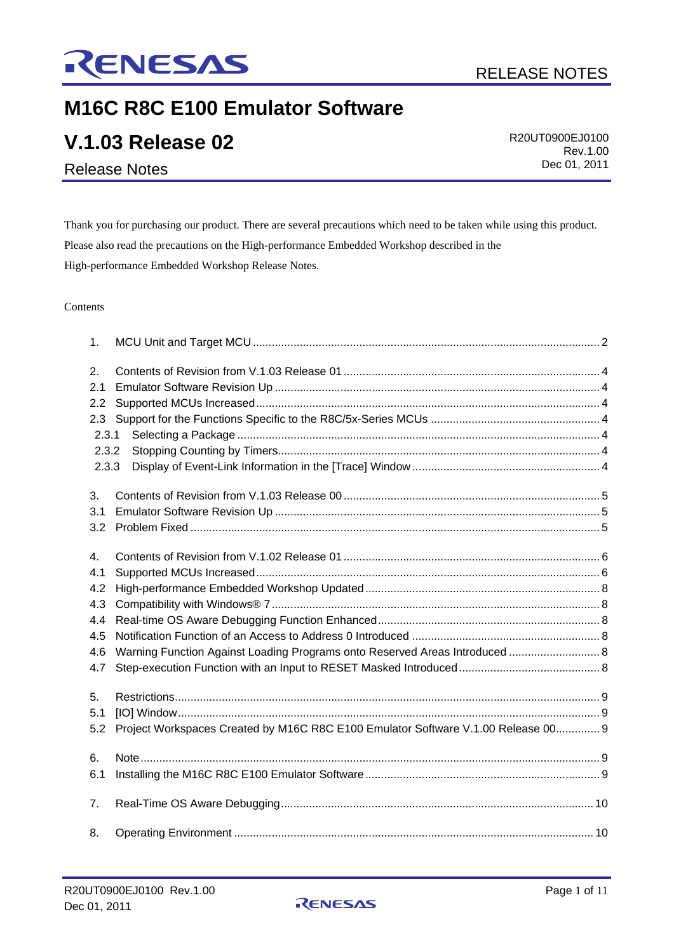

# **M16C R8C E100 Emulator Software**

| <b>V.1.03 Release 02</b> | R20UT0900EJ0100 |
|--------------------------|-----------------|
|                          | Rev.1.00        |
| <b>Release Notes</b>     | Dec 01, 2011    |

Thank you for purchasing our product. There are several precautions which need to be taken while using this product. Please also read the precautions on the High-performance Embedded Workshop described in the High-performance Embedded Workshop Release Notes.

#### Contents

| 1.                                                  |                                                                                   |  |
|-----------------------------------------------------|-----------------------------------------------------------------------------------|--|
| 2.<br>2.1<br>2.2<br>2.3<br>2.3.1<br>2.3.2<br>2.3.3  |                                                                                   |  |
| 3.<br>3.1<br>3.2                                    |                                                                                   |  |
| 4.<br>4.1<br>4.2<br>4.3<br>4.4<br>4.5<br>4.6<br>4.7 | Warning Function Against Loading Programs onto Reserved Areas Introduced  8       |  |
| 5.<br>5.1<br>5.2                                    | Project Workspaces Created by M16C R8C E100 Emulator Software V.1.00 Release 00 9 |  |
| 6.<br>6.1                                           |                                                                                   |  |
| 7.                                                  |                                                                                   |  |
| 8.                                                  |                                                                                   |  |

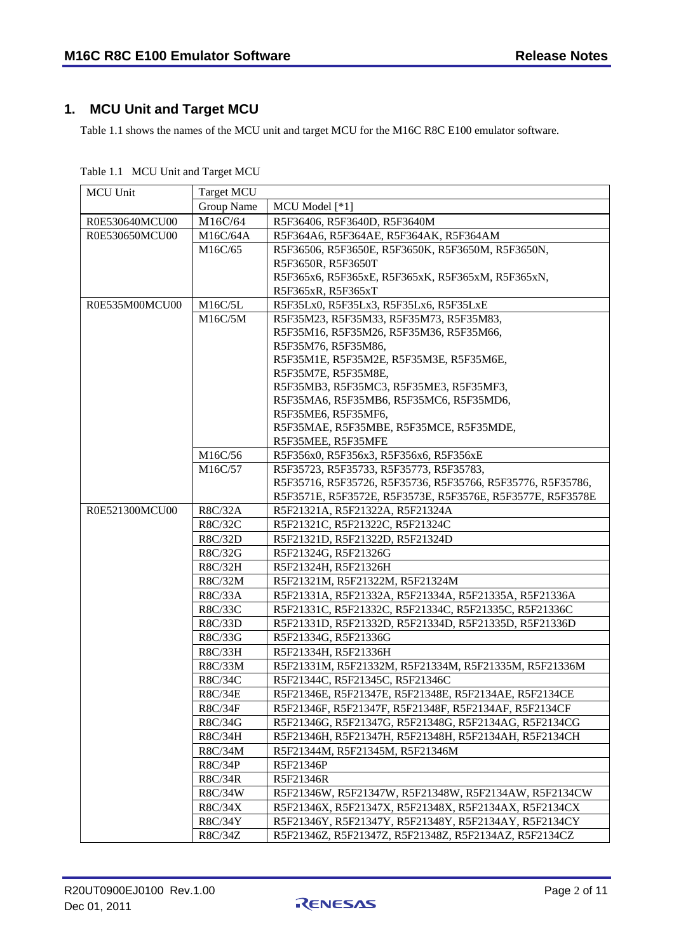## <span id="page-1-0"></span>**1. MCU Unit and Target MCU**

Table 1.1 shows the names of the MCU unit and target MCU for the M16C R8C E100 emulator software.

| <b>MCU Unit</b> | <b>Target MCU</b> |                                                             |
|-----------------|-------------------|-------------------------------------------------------------|
|                 | Group Name        | MCU Model [*1]                                              |
| R0E530640MCU00  | M16C/64           | R5F36406, R5F3640D, R5F3640M                                |
| R0E530650MCU00  | M16C/64A          | R5F364A6, R5F364AE, R5F364AK, R5F364AM                      |
|                 | M16C/65           | R5F36506, R5F3650E, R5F3650K, R5F3650M, R5F3650N,           |
|                 |                   | R5F3650R, R5F3650T                                          |
|                 |                   | R5F365x6, R5F365xE, R5F365xK, R5F365xM, R5F365xN,           |
|                 |                   | R5F365xR, R5F365xT                                          |
| R0E535M00MCU00  | M16C/5L           | R5F35Lx0, R5F35Lx3, R5F35Lx6, R5F35LxE                      |
|                 | M16C/5M           | R5F35M23, R5F35M33, R5F35M73, R5F35M83,                     |
|                 |                   | R5F35M16, R5F35M26, R5F35M36, R5F35M66,                     |
|                 |                   | R5F35M76, R5F35M86,                                         |
|                 |                   | R5F35M1E, R5F35M2E, R5F35M3E, R5F35M6E,                     |
|                 |                   | R5F35M7E, R5F35M8E,                                         |
|                 |                   | R5F35MB3, R5F35MC3, R5F35ME3, R5F35MF3,                     |
|                 |                   | R5F35MA6, R5F35MB6, R5F35MC6, R5F35MD6,                     |
|                 |                   | R5F35ME6, R5F35MF6,                                         |
|                 |                   | R5F35MAE, R5F35MBE, R5F35MCE, R5F35MDE,                     |
|                 |                   | R5F35MEE, R5F35MFE                                          |
|                 | M16C/56           | R5F356x0, R5F356x3, R5F356x6, R5F356xE                      |
|                 | M16C/57           | R5F35723, R5F35733, R5F35773, R5F35783,                     |
|                 |                   | R5F35716, R5F35726, R5F35736, R5F35766, R5F35776, R5F35786, |
|                 |                   | R5F3571E, R5F3572E, R5F3573E, R5F3576E, R5F3577E, R5F3578E  |
| R0E521300MCU00  | R8C/32A           | R5F21321A, R5F21322A, R5F21324A                             |
|                 | R8C/32C           | R5F21321C, R5F21322C, R5F21324C                             |
|                 | R8C/32D           | R5F21321D, R5F21322D, R5F21324D                             |
|                 | R8C/32G           | R5F21324G, R5F21326G                                        |
|                 | R8C/32H           | R5F21324H, R5F21326H                                        |
|                 | R8C/32M           | R5F21321M, R5F21322M, R5F21324M                             |
|                 | R8C/33A           | R5F21331A, R5F21332A, R5F21334A, R5F21335A, R5F21336A       |
|                 | R8C/33C           | R5F21331C, R5F21332C, R5F21334C, R5F21335C, R5F21336C       |
|                 | R8C/33D           | R5F21331D, R5F21332D, R5F21334D, R5F21335D, R5F21336D       |
|                 | R8C/33G           | R5F21334G, R5F21336G                                        |
|                 | R8C/33H           | R5F21334H, R5F21336H                                        |
|                 | R8C/33M           | R5F21331M, R5F21332M, R5F21334M, R5F21335M, R5F21336M       |
|                 | R8C/34C           | R5F21344C, R5F21345C, R5F21346C                             |
|                 | <b>R8C/34E</b>    | R5F21346E, R5F21347E, R5F21348E, R5F2134AE, R5F2134CE       |
|                 | R8C/34F           | R5F21346F, R5F21347F, R5F21348F, R5F2134AF, R5F2134CF       |
|                 | R8C/34G           | R5F21346G, R5F21347G, R5F21348G, R5F2134AG, R5F2134CG       |
|                 | R8C/34H           | R5F21346H, R5F21347H, R5F21348H, R5F2134AH, R5F2134CH       |
|                 | R8C/34M           | R5F21344M, R5F21345M, R5F21346M                             |
|                 | <b>R8C/34P</b>    | R5F21346P                                                   |
|                 | R8C/34R           | R5F21346R                                                   |
|                 | R8C/34W           | R5F21346W, R5F21347W, R5F21348W, R5F2134AW, R5F2134CW       |
|                 | R8C/34X           | R5F21346X, R5F21347X, R5F21348X, R5F2134AX, R5F2134CX       |
|                 | R8C/34Y           | R5F21346Y, R5F21347Y, R5F21348Y, R5F2134AY, R5F2134CY       |
|                 | R8C/34Z           | R5F21346Z, R5F21347Z, R5F21348Z, R5F2134AZ, R5F2134CZ       |

Table 1.1 MCU Unit and Target MCU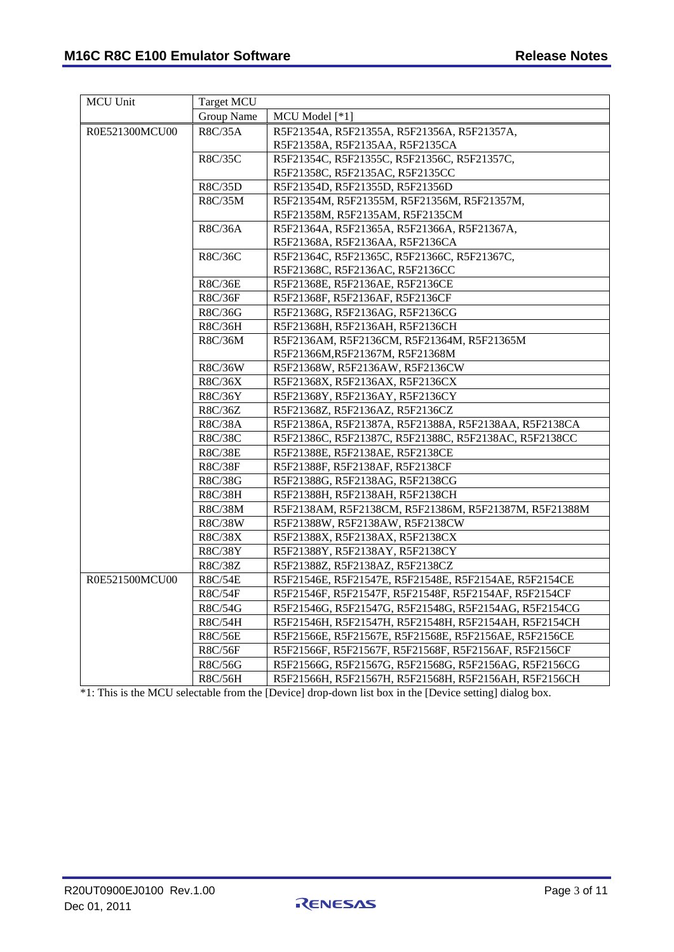| <b>MCU Unit</b> | <b>Target MCU</b> |                                                       |
|-----------------|-------------------|-------------------------------------------------------|
|                 | Group Name        | MCU Model [*1]                                        |
| R0E521300MCU00  | R8C/35A           | R5F21354A, R5F21355A, R5F21356A, R5F21357A,           |
|                 |                   | R5F21358A, R5F2135AA, R5F2135CA                       |
|                 | R8C/35C           | R5F21354C, R5F21355C, R5F21356C, R5F21357C,           |
|                 |                   | R5F21358C, R5F2135AC, R5F2135CC                       |
|                 | R8C/35D           | R5F21354D, R5F21355D, R5F21356D                       |
|                 | R8C/35M           | R5F21354M, R5F21355M, R5F21356M, R5F21357M,           |
|                 |                   | R5F21358M, R5F2135AM, R5F2135CM                       |
|                 | R8C/36A           | R5F21364A, R5F21365A, R5F21366A, R5F21367A,           |
|                 |                   | R5F21368A, R5F2136AA, R5F2136CA                       |
|                 | R8C/36C           | R5F21364C, R5F21365C, R5F21366C, R5F21367C,           |
|                 |                   | R5F21368C, R5F2136AC, R5F2136CC                       |
|                 | R8C/36E           | R5F21368E, R5F2136AE, R5F2136CE                       |
|                 | R8C/36F           | R5F21368F, R5F2136AF, R5F2136CF                       |
|                 | R8C/36G           | R5F21368G, R5F2136AG, R5F2136CG                       |
|                 | R8C/36H           | R5F21368H, R5F2136AH, R5F2136CH                       |
|                 | R8C/36M           | R5F2136AM, R5F2136CM, R5F21364M, R5F21365M            |
|                 |                   | R5F21366M, R5F21367M, R5F21368M                       |
|                 | R8C/36W           | R5F21368W, R5F2136AW, R5F2136CW                       |
|                 | R8C/36X           | R5F21368X, R5F2136AX, R5F2136CX                       |
|                 | R8C/36Y           | R5F21368Y, R5F2136AY, R5F2136CY                       |
|                 | R8C/36Z           | R5F21368Z, R5F2136AZ, R5F2136CZ                       |
|                 | R8C/38A           | R5F21386A, R5F21387A, R5F21388A, R5F2138AA, R5F2138CA |
|                 | R8C/38C           | R5F21386C, R5F21387C, R5F21388C, R5F2138AC, R5F2138CC |
|                 | R8C/38E           | R5F21388E, R5F2138AE, R5F2138CE                       |
|                 | R8C/38F           | R5F21388F, R5F2138AF, R5F2138CF                       |
|                 | R8C/38G           | R5F21388G, R5F2138AG, R5F2138CG                       |
|                 | R8C/38H           | R5F21388H, R5F2138AH, R5F2138CH                       |
|                 | R8C/38M           | R5F2138AM, R5F2138CM, R5F21386M, R5F21387M, R5F21388M |
|                 | R8C/38W           | R5F21388W, R5F2138AW, R5F2138CW                       |
|                 | R8C/38X           | R5F21388X, R5F2138AX, R5F2138CX                       |
|                 | R8C/38Y           | R5F21388Y, R5F2138AY, R5F2138CY                       |
|                 | R8C/38Z           | R5F21388Z, R5F2138AZ, R5F2138CZ                       |
| R0E521500MCU00  | R8C/54E           | R5F21546E, R5F21547E, R5F21548E, R5F2154AE, R5F2154CE |
|                 | <b>R8C/54F</b>    | R5F21546F, R5F21547F, R5F21548F, R5F2154AF, R5F2154CF |
|                 | R8C/54G           | R5F21546G, R5F21547G, R5F21548G, R5F2154AG, R5F2154CG |
|                 | R8C/54H           | R5F21546H, R5F21547H, R5F21548H, R5F2154AH, R5F2154CH |
|                 | R8C/56E           | R5F21566E, R5F21567E, R5F21568E, R5F2156AE, R5F2156CE |
|                 | R8C/56F           | R5F21566F, R5F21567F, R5F21568F, R5F2156AF, R5F2156CF |
|                 | R8C/56G           | R5F21566G, R5F21567G, R5F21568G, R5F2156AG, R5F2156CG |
|                 | R8C/56H           | R5F21566H, R5F21567H, R5F21568H, R5F2156AH, R5F2156CH |

\*1: This is the MCU selectable from the [Device] drop-down list box in the [Device setting] dialog box.

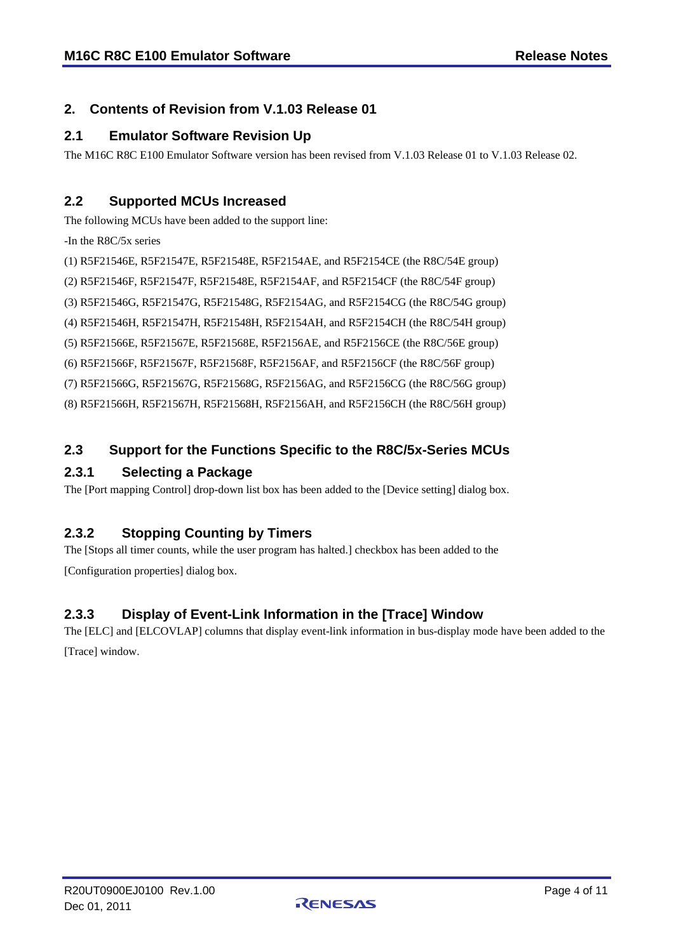#### <span id="page-3-0"></span>**2. Contents of Revision from V.1.03 Release 01**

#### <span id="page-3-1"></span>**2.1 Emulator Software Revision Up**

The M16C R8C E100 Emulator Software version has been revised from V.1.03 Release 01 to V.1.03 Release 02.

#### <span id="page-3-2"></span>**2.2 Supported MCUs Increased**

The following MCUs have been added to the support line:

-In the R8C/5x series

(1) R5F21546E, R5F21547E, R5F21548E, R5F2154AE, and R5F2154CE (the R8C/54E group)

(2) R5F21546F, R5F21547F, R5F21548E, R5F2154AF, and R5F2154CF (the R8C/54F group)

(3) R5F21546G, R5F21547G, R5F21548G, R5F2154AG, and R5F2154CG (the R8C/54G group)

(4) R5F21546H, R5F21547H, R5F21548H, R5F2154AH, and R5F2154CH (the R8C/54H group)

(5) R5F21566E, R5F21567E, R5F21568E, R5F2156AE, and R5F2156CE (the R8C/56E group)

(6) R5F21566F, R5F21567F, R5F21568F, R5F2156AF, and R5F2156CF (the R8C/56F group)

(7) R5F21566G, R5F21567G, R5F21568G, R5F2156AG, and R5F2156CG (the R8C/56G group)

(8) R5F21566H, R5F21567H, R5F21568H, R5F2156AH, and R5F2156CH (the R8C/56H group)

#### <span id="page-3-3"></span>**2.3 Support for the Functions Specific to the R8C/5x-Series MCUs**

#### <span id="page-3-4"></span>**2.3.1 Selecting a Package**

The [Port mapping Control] drop-down list box has been added to the [Device setting] dialog box.

#### <span id="page-3-5"></span>**2.3.2 Stopping Counting by Timers**

The [Stops all timer counts, while the user program has halted.] checkbox has been added to the [Configuration properties] dialog box.

#### <span id="page-3-6"></span>**2.3.3 Display of Event-Link Information in the [Trace] Window**

The [ELC] and [ELCOVLAP] columns that display event-link information in bus-display mode have been added to the [Trace] window.

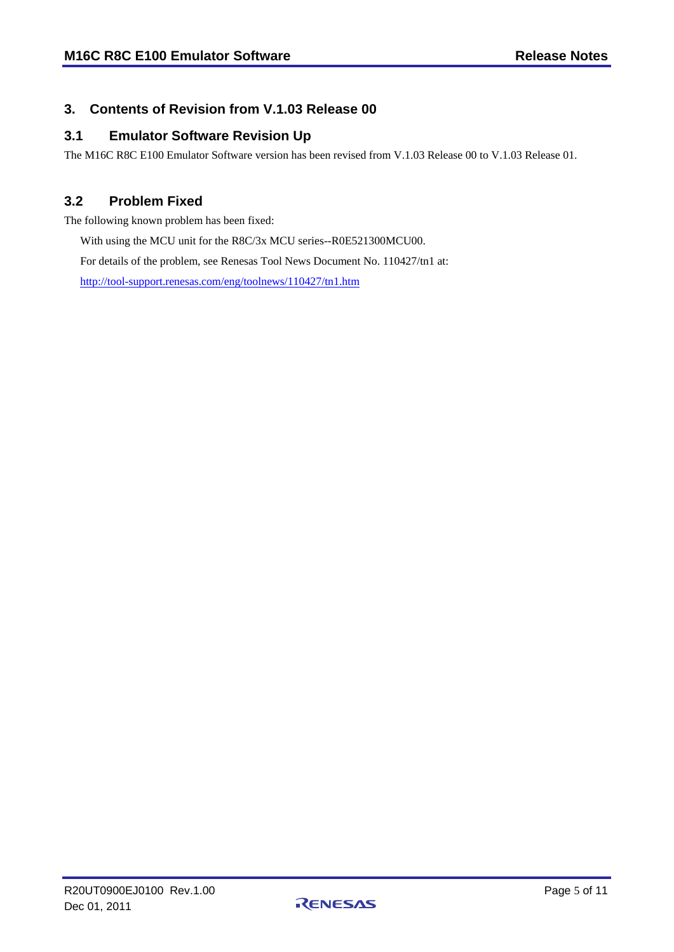#### <span id="page-4-0"></span>**3. Contents of Revision from V.1.03 Release 00**

#### <span id="page-4-1"></span>**3.1 Emulator Software Revision Up**

The M16C R8C E100 Emulator Software version has been revised from V.1.03 Release 00 to V.1.03 Release 01.

#### <span id="page-4-2"></span>**3.2 Problem Fixed**

The following known problem has been fixed:

With using the MCU unit for the R8C/3x MCU series--R0E521300MCU00.

For details of the problem, see Renesas Tool News Document No. 110427/tn1 at:

<http://tool-support.renesas.com/eng/toolnews/110427/tn1.htm>

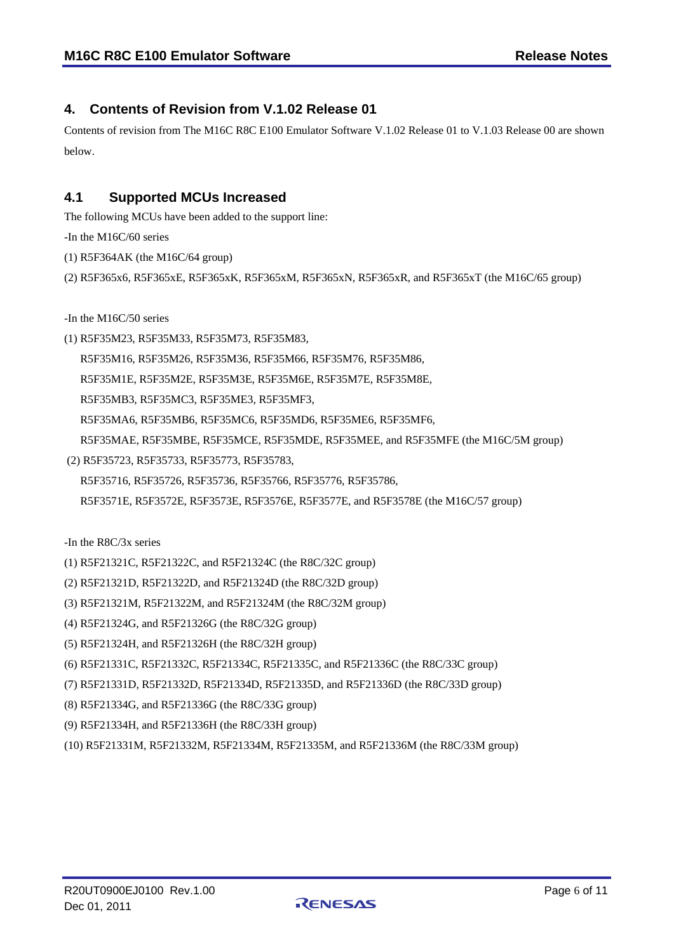#### <span id="page-5-0"></span>**4. Contents of Revision from V.1.02 Release 01**

Contents of revision from The M16C R8C E100 Emulator Software V.1.02 Release 01 to V.1.03 Release 00 are shown below.

#### <span id="page-5-1"></span>**4.1 Supported MCUs Increased**

The following MCUs have been added to the support line:

-In the M16C/60 series

- (1) R5F364AK (the M16C/64 group)
- (2) R5F365x6, R5F365xE, R5F365xK, R5F365xM, R5F365xN, R5F365xR, and R5F365xT (the M16C/65 group)

-In the M16C/50 series

(1) R5F35M23, R5F35M33, R5F35M73, R5F35M83,

R5F35M16, R5F35M26, R5F35M36, R5F35M66, R5F35M76, R5F35M86,

R5F35M1E, R5F35M2E, R5F35M3E, R5F35M6E, R5F35M7E, R5F35M8E,

R5F35MB3, R5F35MC3, R5F35ME3, R5F35MF3,

R5F35MA6, R5F35MB6, R5F35MC6, R5F35MD6, R5F35ME6, R5F35MF6,

R5F35MAE, R5F35MBE, R5F35MCE, R5F35MDE, R5F35MEE, and R5F35MFE (the M16C/5M group)

(2) R5F35723, R5F35733, R5F35773, R5F35783,

R5F35716, R5F35726, R5F35736, R5F35766, R5F35776, R5F35786,

R5F3571E, R5F3572E, R5F3573E, R5F3576E, R5F3577E, and R5F3578E (the M16C/57 group)

-In the R8C/3x series

(1) R5F21321C, R5F21322C, and R5F21324C (the R8C/32C group)

- (2) R5F21321D, R5F21322D, and R5F21324D (the R8C/32D group)
- (3) R5F21321M, R5F21322M, and R5F21324M (the R8C/32M group)
- (4) R5F21324G, and R5F21326G (the R8C/32G group)
- (5) R5F21324H, and R5F21326H (the R8C/32H group)
- (6) R5F21331C, R5F21332C, R5F21334C, R5F21335C, and R5F21336C (the R8C/33C group)
- (7) R5F21331D, R5F21332D, R5F21334D, R5F21335D, and R5F21336D (the R8C/33D group)
- (8) R5F21334G, and R5F21336G (the R8C/33G group)
- (9) R5F21334H, and R5F21336H (the R8C/33H group)
- (10) R5F21331M, R5F21332M, R5F21334M, R5F21335M, and R5F21336M (the R8C/33M group)

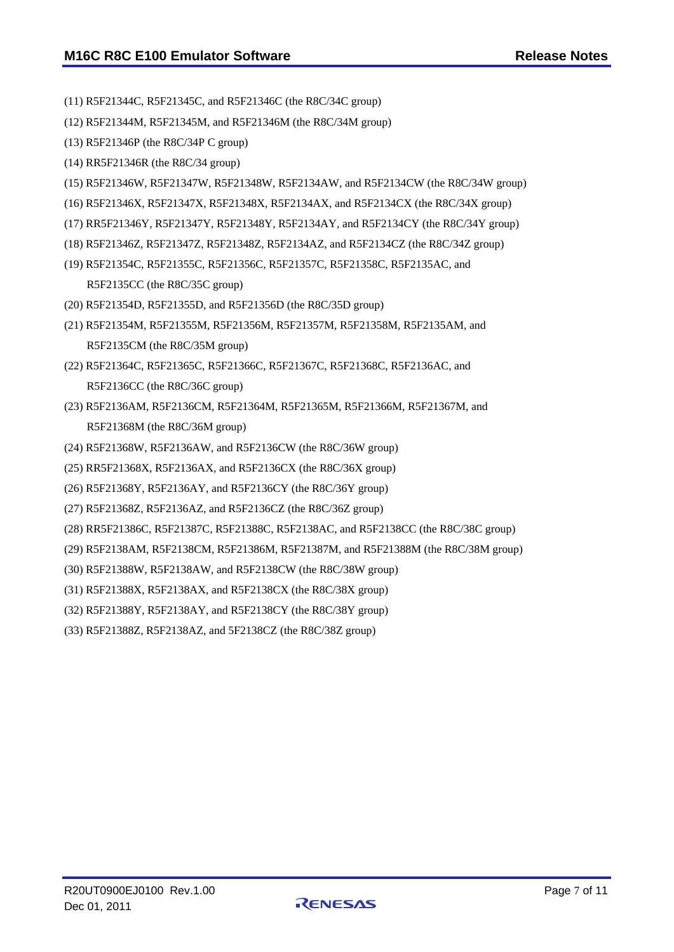- (11) R5F21344C, R5F21345C, and R5F21346C (the R8C/34C group)
- (12) R5F21344M, R5F21345M, and R5F21346M (the R8C/34M group)
- (13) R5F21346P (the R8C/34P C group)
- (14) RR5F21346R (the R8C/34 group)
- (15) R5F21346W, R5F21347W, R5F21348W, R5F2134AW, and R5F2134CW (the R8C/34W group)
- (16) R5F21346X, R5F21347X, R5F21348X, R5F2134AX, and R5F2134CX (the R8C/34X group)
- (17) RR5F21346Y, R5F21347Y, R5F21348Y, R5F2134AY, and R5F2134CY (the R8C/34Y group)
- (18) R5F21346Z, R5F21347Z, R5F21348Z, R5F2134AZ, and R5F2134CZ (the R8C/34Z group)
- (19) R5F21354C, R5F21355C, R5F21356C, R5F21357C, R5F21358C, R5F2135AC, and R5F2135CC (the R8C/35C group)
- (20) R5F21354D, R5F21355D, and R5F21356D (the R8C/35D group)
- (21) R5F21354M, R5F21355M, R5F21356M, R5F21357M, R5F21358M, R5F2135AM, and R5F2135CM (the R8C/35M group)
- (22) R5F21364C, R5F21365C, R5F21366C, R5F21367C, R5F21368C, R5F2136AC, and R5F2136CC (the R8C/36C group)
- (23) R5F2136AM, R5F2136CM, R5F21364M, R5F21365M, R5F21366M, R5F21367M, and R5F21368M (the R8C/36M group)
- (24) R5F21368W, R5F2136AW, and R5F2136CW (the R8C/36W group)
- (25) RR5F21368X, R5F2136AX, and R5F2136CX (the R8C/36X group)
- (26) R5F21368Y, R5F2136AY, and R5F2136CY (the R8C/36Y group)
- (27) R5F21368Z, R5F2136AZ, and R5F2136CZ (the R8C/36Z group)
- (28) RR5F21386C, R5F21387C, R5F21388C, R5F2138AC, and R5F2138CC (the R8C/38C group)
- (29) R5F2138AM, R5F2138CM, R5F21386M, R5F21387M, and R5F21388M (the R8C/38M group)
- (30) R5F21388W, R5F2138AW, and R5F2138CW (the R8C/38W group)
- (31) R5F21388X, R5F2138AX, and R5F2138CX (the R8C/38X group)
- (32) R5F21388Y, R5F2138AY, and R5F2138CY (the R8C/38Y group)
- (33) R5F21388Z, R5F2138AZ, and 5F2138CZ (the R8C/38Z group)

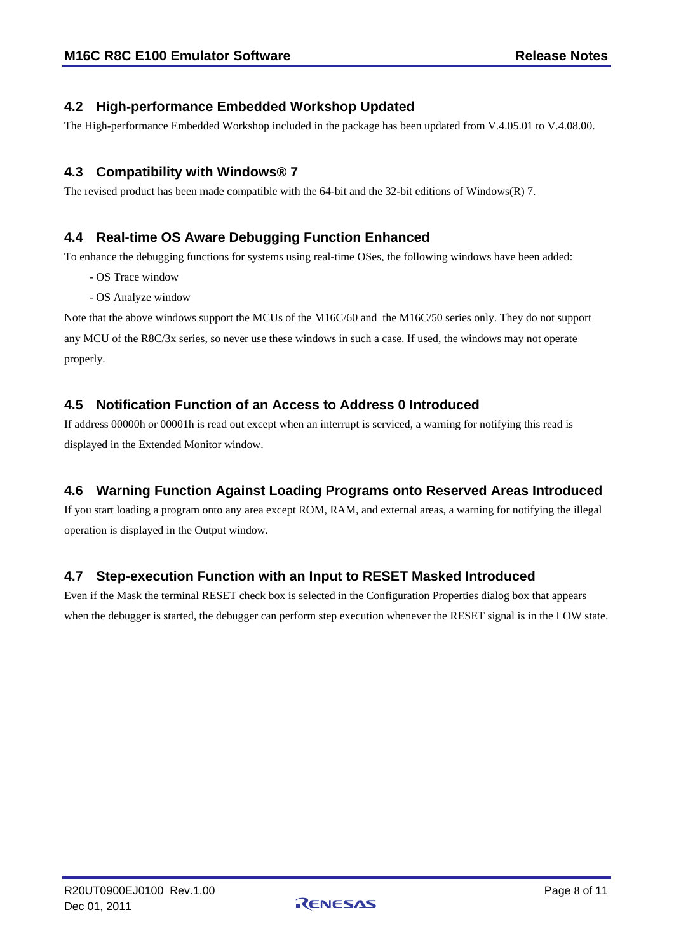#### <span id="page-7-0"></span>**4.2 High-performance Embedded Workshop Updated**

The High-performance Embedded Workshop included in the package has been updated from V.4.05.01 to V.4.08.00.

#### <span id="page-7-1"></span>**4.3 Compatibility with Windows® 7**

The revised product has been made compatible with the 64-bit and the 32-bit editions of Windows(R) 7.

#### <span id="page-7-2"></span>**4.4 Real-time OS Aware Debugging Function Enhanced**

To enhance the debugging functions for systems using real-time OSes, the following windows have been added:

- OS Trace window
- OS Analyze window

Note that the above windows support the MCUs of the M16C/60 and the M16C/50 series only. They do not support any MCU of the R8C/3x series, so never use these windows in such a case. If used, the windows may not operate properly.

#### <span id="page-7-3"></span>**4.5 Notification Function of an Access to Address 0 Introduced**

If address 00000h or 00001h is read out except when an interrupt is serviced, a warning for notifying this read is displayed in the Extended Monitor window.

### <span id="page-7-4"></span>**4.6 Warning Function Against Loading Programs onto Reserved Areas Introduced**

If you start loading a program onto any area except ROM, RAM, and external areas, a warning for notifying the illegal operation is displayed in the Output window.

### <span id="page-7-5"></span>**4.7 Step-execution Function with an Input to RESET Masked Introduced**

Even if the Mask the terminal RESET check box is selected in the Configuration Properties dialog box that appears when the debugger is started, the debugger can perform step execution whenever the RESET signal is in the LOW state.

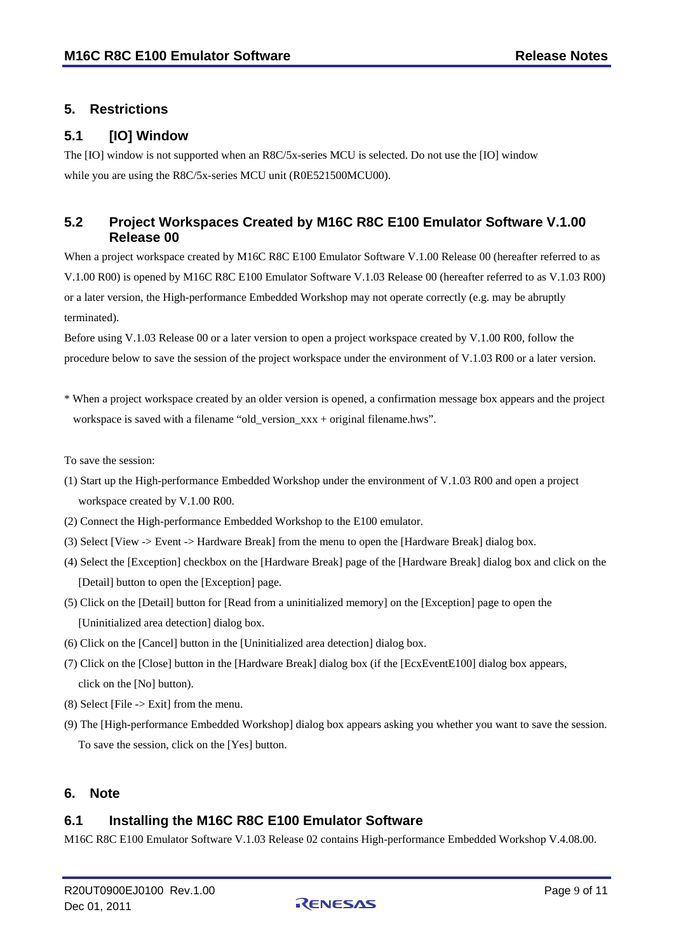### <span id="page-8-0"></span>**5. Restrictions**

#### <span id="page-8-1"></span>**5.1 [IO] Window**

The [IO] window is not supported when an R8C/5x-series MCU is selected. Do not use the [IO] window while you are using the R8C/5x-series MCU unit (R0E521500MCU00).

### <span id="page-8-2"></span>**5.2 Project Workspaces Created by M16C R8C E100 Emulator Software V.1.00 Release 00**

When a project workspace created by M16C R8C E100 Emulator Software V.1.00 Release 00 (hereafter referred to as V.1.00 R00) is opened by M16C R8C E100 Emulator Software V.1.03 Release 00 (hereafter referred to as V.1.03 R00) or a later version, the High-performance Embedded Workshop may not operate correctly (e.g. may be abruptly terminated).

Before using V.1.03 Release 00 or a later version to open a project workspace created by V.1.00 R00, follow the procedure below to save the session of the project workspace under the environment of V.1.03 R00 or a later version.

\* When a project workspace created by an older version is opened, a confirmation message box appears and the project workspace is saved with a filename "old\_version\_xxx + original filename.hws".

To save the session:

- (1) Start up the High-performance Embedded Workshop under the environment of V.1.03 R00 and open a project workspace created by V.1.00 R00.
- (2) Connect the High-performance Embedded Workshop to the E100 emulator.
- (3) Select [View -> Event -> Hardware Break] from the menu to open the [Hardware Break] dialog box.
- (4) Select the [Exception] checkbox on the [Hardware Break] page of the [Hardware Break] dialog box and click on the [Detail] button to open the [Exception] page.
- (5) Click on the [Detail] button for [Read from a uninitialized memory] on the [Exception] page to open the [Uninitialized area detection] dialog box.
- (6) Click on the [Cancel] button in the [Uninitialized area detection] dialog box.
- (7) Click on the [Close] button in the [Hardware Break] dialog box (if the [EcxEventE100] dialog box appears, click on the [No] button).
- $(8)$  Select [File -> Exit] from the menu.
- (9) The [High-performance Embedded Workshop] dialog box appears asking you whether you want to save the session. To save the session, click on the [Yes] button.

#### <span id="page-8-3"></span>**6. Note**

#### <span id="page-8-4"></span>**6.1 Installing the M16C R8C E100 Emulator Software**

M16C R8C E100 Emulator Software V.1.03 Release 02 contains High-performance Embedded Workshop V.4.08.00.

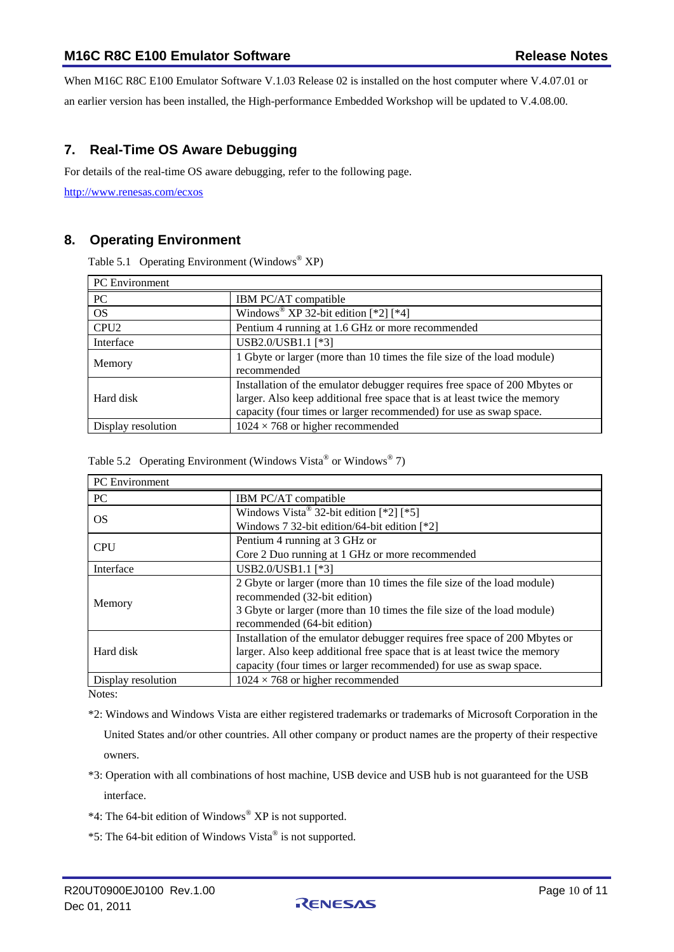When M16C R8C E100 Emulator Software V.1.03 Release 02 is installed on the host computer where V.4.07.01 or an earlier version has been installed, the High-performance Embedded Workshop will be updated to V.4.08.00.

## <span id="page-9-0"></span>**7. Real-Time OS Aware Debugging**

For details of the real-time OS aware debugging, refer to the following page.

<http://www.renesas.com/ecxos>

#### <span id="page-9-1"></span>**8. Operating Environment**

Table 5.1 Operating Environment (Windows<sup>®</sup> XP)

| <b>PC</b> Environment |                                                                            |  |
|-----------------------|----------------------------------------------------------------------------|--|
| PC                    | IBM PC/AT compatible                                                       |  |
| <b>OS</b>             | Windows <sup>®</sup> XP 32-bit edition $[*2]$ $[*4]$                       |  |
| CPU <sub>2</sub>      | Pentium 4 running at 1.6 GHz or more recommended                           |  |
| Interface             | USB2.0/USB1.1 [*3]                                                         |  |
| Memory                | 1 Gbyte or larger (more than 10 times the file size of the load module)    |  |
|                       | recommended                                                                |  |
|                       | Installation of the emulator debugger requires free space of 200 Mbytes or |  |
| Hard disk             | larger. Also keep additional free space that is at least twice the memory  |  |
|                       | capacity (four times or larger recommended) for use as swap space.         |  |
| Display resolution    | $1024 \times 768$ or higher recommended                                    |  |

Table 5.2 Operating Environment (Windows Vista® or Windows® 7)

| PC Environment     |                                                                            |  |
|--------------------|----------------------------------------------------------------------------|--|
| <b>PC</b>          | IBM PC/AT compatible                                                       |  |
| <b>OS</b>          | Windows Vista® 32-bit edition $[*2]$ $[*5]$                                |  |
|                    | Windows 7 32-bit edition/64-bit edition [*2]                               |  |
| <b>CPU</b>         | Pentium 4 running at 3 GHz or                                              |  |
|                    | Core 2 Duo running at 1 GHz or more recommended                            |  |
| Interface          | USB2.0/USB1.1 [*3]                                                         |  |
|                    | 2 Gbyte or larger (more than 10 times the file size of the load module)    |  |
| Memory             | recommended (32-bit edition)                                               |  |
|                    | 3 Gbyte or larger (more than 10 times the file size of the load module)    |  |
|                    | recommended (64-bit edition)                                               |  |
|                    | Installation of the emulator debugger requires free space of 200 Mbytes or |  |
| Hard disk          | larger. Also keep additional free space that is at least twice the memory  |  |
|                    | capacity (four times or larger recommended) for use as swap space.         |  |
| Display resolution | $1024 \times 768$ or higher recommended                                    |  |

Notes:

\*2: Windows and Windows Vista are either registered trademarks or trademarks of Microsoft Corporation in the

United States and/or other countries. All other company or product names are the property of their respective owners.

- \*3: Operation with all combinations of host machine, USB device and USB hub is not guaranteed for the USB interface.
- \*4: The 64-bit edition of Windows® XP is not supported.
- \*5: The 64-bit edition of Windows Vista® is not supported.